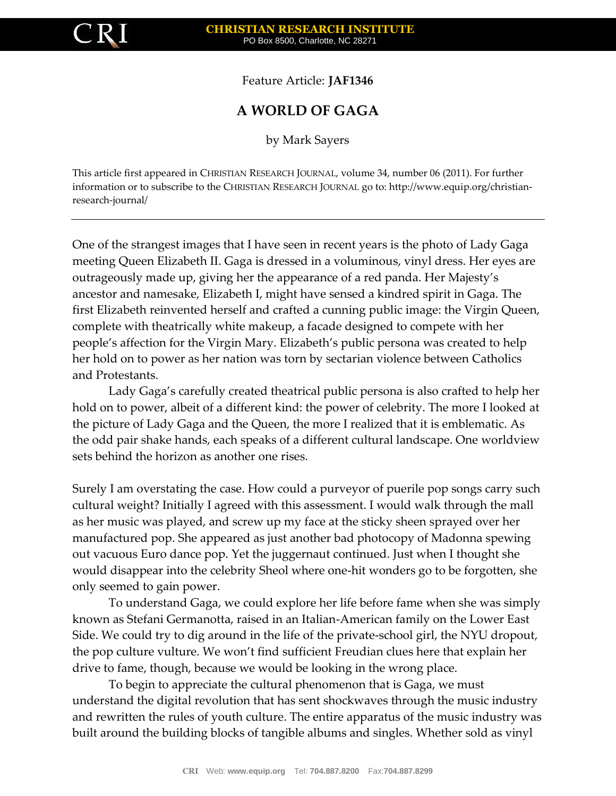

Feature Article: **JAF1346**

## **A WORLD OF GAGA**

by Mark Sayers

This article first appeared in CHRISTIAN RESEARCH JOURNAL, volume 34, number 06 (2011). For further information or to subscribe to the CHRISTIAN RESEARCH JOURNAL go to: http://www.equip.org/christianresearch-journal/

One of the strangest images that I have seen in recent years is the photo of Lady Gaga meeting Queen Elizabeth II. Gaga is dressed in a voluminous, vinyl dress. Her eyes are outrageously made up, giving her the appearance of a red panda. Her Majesty's ancestor and namesake, Elizabeth I, might have sensed a kindred spirit in Gaga. The first Elizabeth reinvented herself and crafted a cunning public image: the Virgin Queen, complete with theatrically white makeup, a facade designed to compete with her people's affection for the Virgin Mary. Elizabeth's public persona was created to help her hold on to power as her nation was torn by sectarian violence between Catholics and Protestants.

Lady Gaga's carefully created theatrical public persona is also crafted to help her hold on to power, albeit of a different kind: the power of celebrity. The more I looked at the picture of Lady Gaga and the Queen, the more I realized that it is emblematic. As the odd pair shake hands, each speaks of a different cultural landscape. One worldview sets behind the horizon as another one rises.

Surely I am overstating the case. How could a purveyor of puerile pop songs carry such cultural weight? Initially I agreed with this assessment. I would walk through the mall as her music was played, and screw up my face at the sticky sheen sprayed over her manufactured pop. She appeared as just another bad photocopy of Madonna spewing out vacuous Euro dance pop. Yet the juggernaut continued. Just when I thought she would disappear into the celebrity Sheol where one-hit wonders go to be forgotten, she only seemed to gain power.

To understand Gaga, we could explore her life before fame when she was simply known as Stefani Germanotta, raised in an Italian-American family on the Lower East Side. We could try to dig around in the life of the private-school girl, the NYU dropout, the pop culture vulture. We won't find sufficient Freudian clues here that explain her drive to fame, though, because we would be looking in the wrong place.

To begin to appreciate the cultural phenomenon that is Gaga, we must understand the digital revolution that has sent shockwaves through the music industry and rewritten the rules of youth culture. The entire apparatus of the music industry was built around the building blocks of tangible albums and singles. Whether sold as vinyl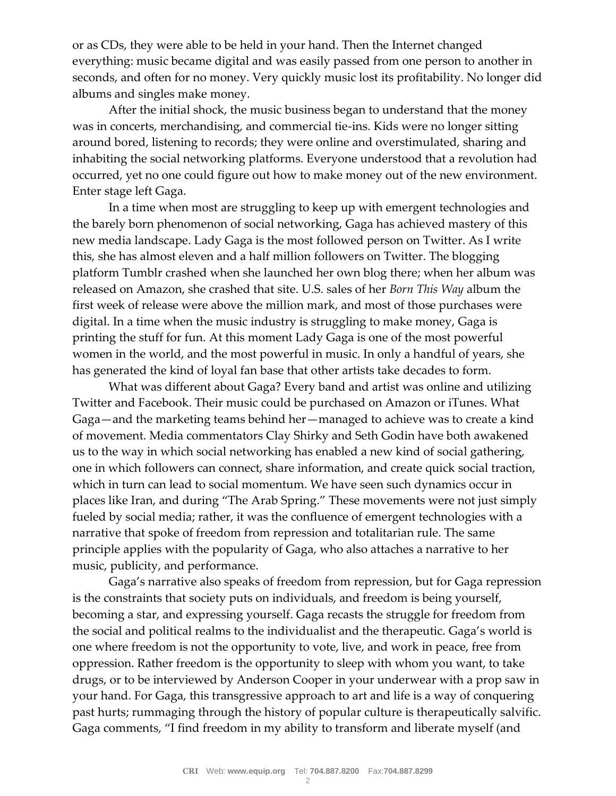or as CDs, they were able to be held in your hand. Then the Internet changed everything: music became digital and was easily passed from one person to another in seconds, and often for no money. Very quickly music lost its profitability. No longer did albums and singles make money.

After the initial shock, the music business began to understand that the money was in concerts, merchandising, and commercial tie-ins. Kids were no longer sitting around bored, listening to records; they were online and overstimulated, sharing and inhabiting the social networking platforms. Everyone understood that a revolution had occurred, yet no one could figure out how to make money out of the new environment. Enter stage left Gaga.

In a time when most are struggling to keep up with emergent technologies and the barely born phenomenon of social networking, Gaga has achieved mastery of this new media landscape. Lady Gaga is the most followed person on Twitter. As I write this, she has almost eleven and a half million followers on Twitter. The blogging platform Tumblr crashed when she launched her own blog there; when her album was released on Amazon, she crashed that site. U.S. sales of her *Born This Way* album the first week of release were above the million mark, and most of those purchases were digital. In a time when the music industry is struggling to make money, Gaga is printing the stuff for fun. At this moment Lady Gaga is one of the most powerful women in the world, and the most powerful in music. In only a handful of years, she has generated the kind of loyal fan base that other artists take decades to form.

What was different about Gaga? Every band and artist was online and utilizing Twitter and Facebook. Their music could be purchased on Amazon or iTunes. What Gaga—and the marketing teams behind her—managed to achieve was to create a kind of movement. Media commentators Clay Shirky and Seth Godin have both awakened us to the way in which social networking has enabled a new kind of social gathering, one in which followers can connect, share information, and create quick social traction, which in turn can lead to social momentum. We have seen such dynamics occur in places like Iran, and during "The Arab Spring." These movements were not just simply fueled by social media; rather, it was the confluence of emergent technologies with a narrative that spoke of freedom from repression and totalitarian rule. The same principle applies with the popularity of Gaga, who also attaches a narrative to her music, publicity, and performance.

Gaga's narrative also speaks of freedom from repression, but for Gaga repression is the constraints that society puts on individuals, and freedom is being yourself, becoming a star, and expressing yourself. Gaga recasts the struggle for freedom from the social and political realms to the individualist and the therapeutic. Gaga's world is one where freedom is not the opportunity to vote, live, and work in peace, free from oppression. Rather freedom is the opportunity to sleep with whom you want, to take drugs, or to be interviewed by Anderson Cooper in your underwear with a prop saw in your hand. For Gaga, this transgressive approach to art and life is a way of conquering past hurts; rummaging through the history of popular culture is therapeutically salvific. Gaga comments, "I find freedom in my ability to transform and liberate myself (and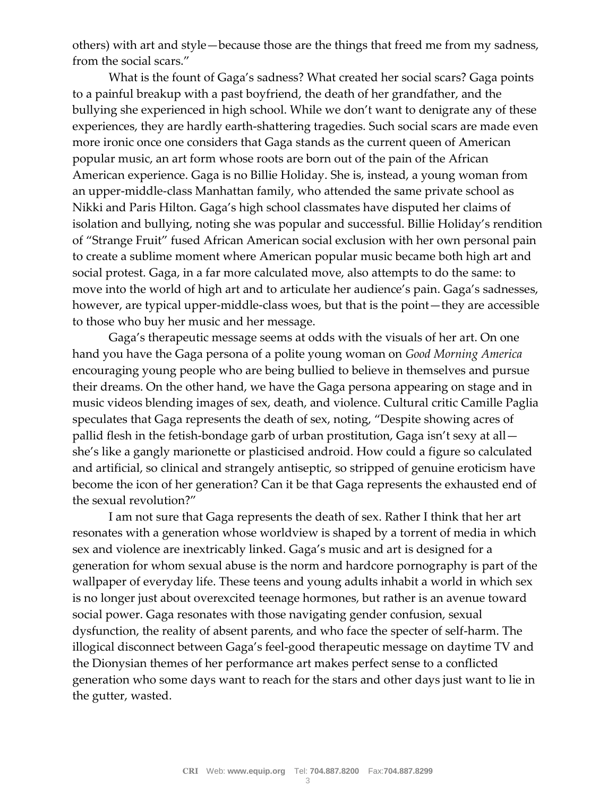others) with art and style—because those are the things that freed me from my sadness, from the social scars."

What is the fount of Gaga's sadness? What created her social scars? Gaga points to a painful breakup with a past boyfriend, the death of her grandfather, and the bullying she experienced in high school. While we don't want to denigrate any of these experiences, they are hardly earth-shattering tragedies. Such social scars are made even more ironic once one considers that Gaga stands as the current queen of American popular music, an art form whose roots are born out of the pain of the African American experience. Gaga is no Billie Holiday. She is, instead, a young woman from an upper-middle-class Manhattan family, who attended the same private school as Nikki and Paris Hilton. Gaga's high school classmates have disputed her claims of isolation and bullying, noting she was popular and successful. Billie Holiday's rendition of "Strange Fruit" fused African American social exclusion with her own personal pain to create a sublime moment where American popular music became both high art and social protest. Gaga, in a far more calculated move, also attempts to do the same: to move into the world of high art and to articulate her audience's pain. Gaga's sadnesses, however, are typical upper-middle-class woes, but that is the point—they are accessible to those who buy her music and her message.

Gaga's therapeutic message seems at odds with the visuals of her art. On one hand you have the Gaga persona of a polite young woman on *Good Morning America* encouraging young people who are being bullied to believe in themselves and pursue their dreams. On the other hand, we have the Gaga persona appearing on stage and in music videos blending images of sex, death, and violence. Cultural critic Camille Paglia speculates that Gaga represents the death of sex, noting, "Despite showing acres of pallid flesh in the fetish-bondage garb of urban prostitution, Gaga isn't sexy at all she's like a gangly marionette or plasticised android. How could a figure so calculated and artificial, so clinical and strangely antiseptic, so stripped of genuine eroticism have become the icon of her generation? Can it be that Gaga represents the exhausted end of the sexual revolution?"

I am not sure that Gaga represents the death of sex. Rather I think that her art resonates with a generation whose worldview is shaped by a torrent of media in which sex and violence are inextricably linked. Gaga's music and art is designed for a generation for whom sexual abuse is the norm and hardcore pornography is part of the wallpaper of everyday life. These teens and young adults inhabit a world in which sex is no longer just about overexcited teenage hormones, but rather is an avenue toward social power. Gaga resonates with those navigating gender confusion, sexual dysfunction, the reality of absent parents, and who face the specter of self-harm. The illogical disconnect between Gaga's feel-good therapeutic message on daytime TV and the Dionysian themes of her performance art makes perfect sense to a conflicted generation who some days want to reach for the stars and other days just want to lie in the gutter, wasted.